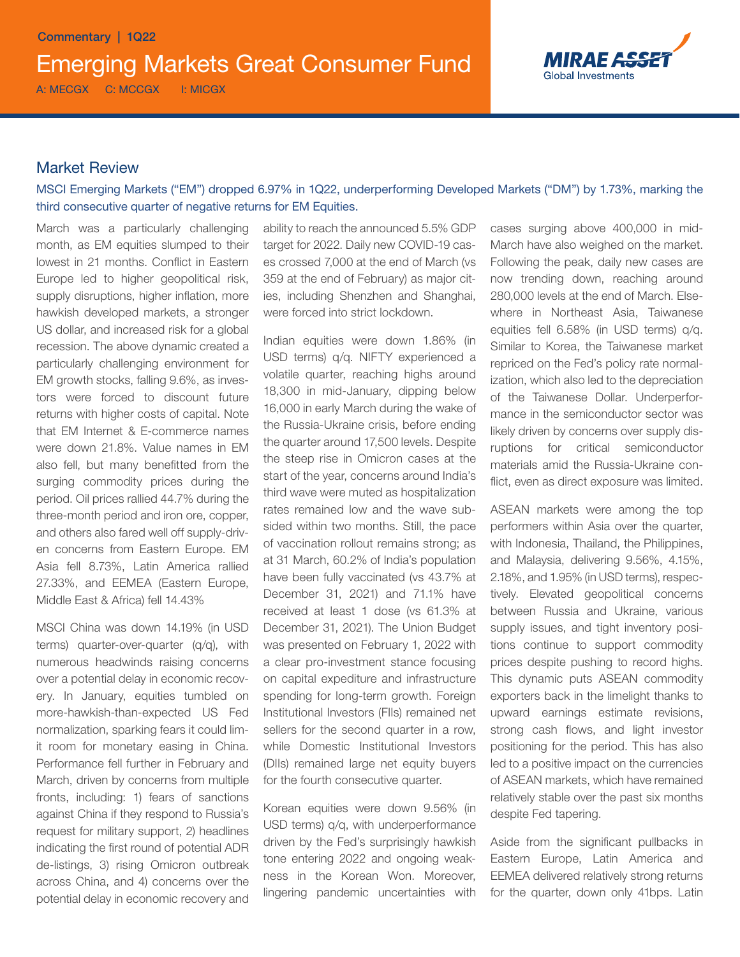

# Market Review

MSCI Emerging Markets ("EM") dropped 6.97% in 1Q22, underperforming Developed Markets ("DM") by 1.73%, marking the third consecutive quarter of negative returns for EM Equities.

March was a particularly challenging month, as EM equities slumped to their lowest in 21 months. Conflict in Eastern Europe led to higher geopolitical risk, supply disruptions, higher inflation, more hawkish developed markets, a stronger US dollar, and increased risk for a global recession. The above dynamic created a particularly challenging environment for EM growth stocks, falling 9.6%, as investors were forced to discount future returns with higher costs of capital. Note that EM Internet & E-commerce names were down 21.8%. Value names in EM also fell, but many benefitted from the surging commodity prices during the period. Oil prices rallied 44.7% during the three-month period and iron ore, copper, and others also fared well off supply-driven concerns from Eastern Europe. EM Asia fell 8.73%, Latin America rallied 27.33%, and EEMEA (Eastern Europe, Middle East & Africa) fell 14.43%

MSCI China was down 14.19% (in USD terms) quarter-over-quarter (q/q), with numerous headwinds raising concerns over a potential delay in economic recovery. In January, equities tumbled on more-hawkish-than-expected US Fed normalization, sparking fears it could limit room for monetary easing in China. Performance fell further in February and March, driven by concerns from multiple fronts, including: 1) fears of sanctions against China if they respond to Russia's request for military support, 2) headlines indicating the first round of potential ADR de-listings, 3) rising Omicron outbreak across China, and 4) concerns over the potential delay in economic recovery and ability to reach the announced 5.5% GDP target for 2022. Daily new COVID-19 cases crossed 7,000 at the end of March (vs 359 at the end of February) as major cities, including Shenzhen and Shanghai, were forced into strict lockdown.

Indian equities were down 1.86% (in USD terms) q/q. NIFTY experienced a volatile quarter, reaching highs around 18,300 in mid-January, dipping below 16,000 in early March during the wake of the Russia-Ukraine crisis, before ending the quarter around 17,500 levels. Despite the steep rise in Omicron cases at the start of the year, concerns around India's third wave were muted as hospitalization rates remained low and the wave subsided within two months. Still, the pace of vaccination rollout remains strong; as at 31 March, 60.2% of India's population have been fully vaccinated (vs 43.7% at December 31, 2021) and 71.1% have received at least 1 dose (vs 61.3% at December 31, 2021). The Union Budget was presented on February 1, 2022 with a clear pro-investment stance focusing on capital expediture and infrastructure spending for long-term growth. Foreign Institutional Investors (FIIs) remained net sellers for the second quarter in a row, while Domestic Institutional Investors (DIIs) remained large net equity buyers for the fourth consecutive quarter.

Korean equities were down 9.56% (in USD terms) q/q, with underperformance driven by the Fed's surprisingly hawkish tone entering 2022 and ongoing weakness in the Korean Won. Moreover, lingering pandemic uncertainties with cases surging above 400,000 in mid-March have also weighed on the market. Following the peak, daily new cases are now trending down, reaching around 280,000 levels at the end of March. Elsewhere in Northeast Asia, Taiwanese equities fell 6.58% (in USD terms) q/q. Similar to Korea, the Taiwanese market repriced on the Fed's policy rate normalization, which also led to the depreciation of the Taiwanese Dollar. Underperformance in the semiconductor sector was likely driven by concerns over supply disruptions for critical semiconductor materials amid the Russia-Ukraine conflict, even as direct exposure was limited.

ASEAN markets were among the top performers within Asia over the quarter, with Indonesia, Thailand, the Philippines, and Malaysia, delivering 9.56%, 4.15%, 2.18%, and 1.95% (in USD terms), respectively. Elevated geopolitical concerns between Russia and Ukraine, various supply issues, and tight inventory positions continue to support commodity prices despite pushing to record highs. This dynamic puts ASEAN commodity exporters back in the limelight thanks to upward earnings estimate revisions, strong cash flows, and light investor positioning for the period. This has also led to a positive impact on the currencies of ASEAN markets, which have remained relatively stable over the past six months despite Fed tapering.

Aside from the significant pullbacks in Eastern Europe, Latin America and EEMEA delivered relatively strong returns for the quarter, down only 41bps. Latin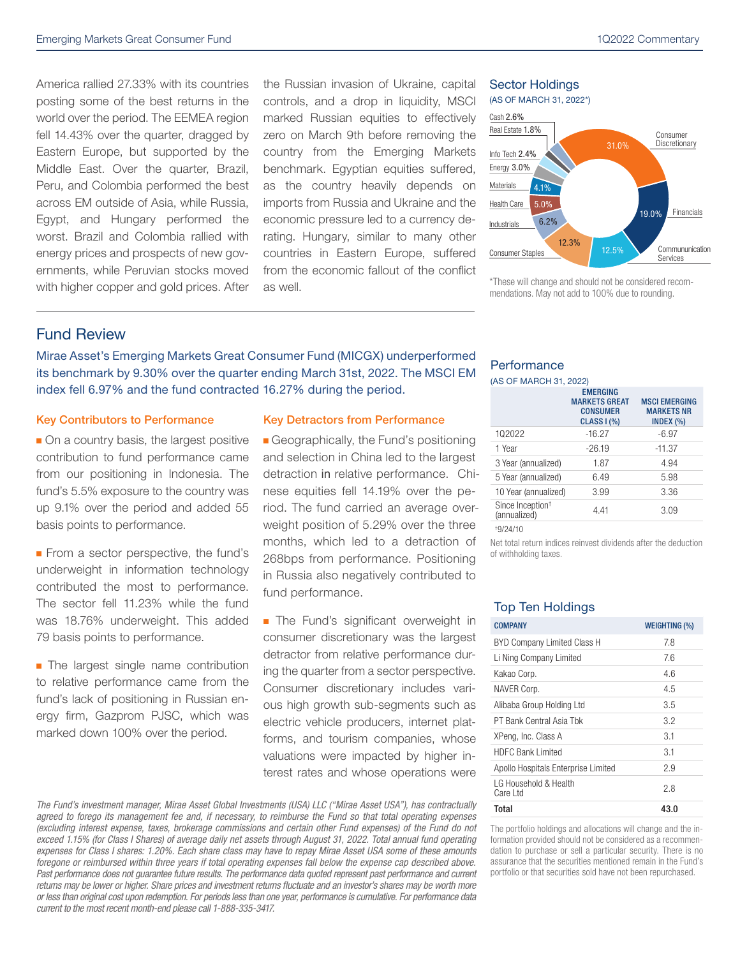America rallied 27.33% with its countries posting some of the best returns in the world over the period. The EEMEA region fell 14.43% over the quarter, dragged by Eastern Europe, but supported by the Middle East. Over the quarter, Brazil, Peru, and Colombia performed the best across EM outside of Asia, while Russia, Egypt, and Hungary performed the worst. Brazil and Colombia rallied with energy prices and prospects of new governments, while Peruvian stocks moved with higher copper and gold prices. After the Russian invasion of Ukraine, capital controls, and a drop in liquidity, MSCI marked Russian equities to effectively zero on March 9th before removing the country from the Emerging Markets benchmark. Egyptian equities suffered, as the country heavily depends on imports from Russia and Ukraine and the economic pressure led to a currency derating. Hungary, similar to many other countries in Eastern Europe, suffered from the economic fallout of the conflict as well.

#### Sector Holdings



\*These will change and should not be considered recommendations. May not add to 100% due to rounding.

## Fund Review

Mirae Asset's Emerging Markets Great Consumer Fund (MICGX) underperformed its benchmark by 9.30% over the quarter ending March 31st, 2022. The MSCI EM index fell 6.97% and the fund contracted 16.27% during the period.

#### Key Contributors to Performance Key Detractors from Performance

 $\blacksquare$  On a country basis, the largest positive contribution to fund performance came from our positioning in Indonesia. The fund's 5.5% exposure to the country was up 9.1% over the period and added 55 basis points to performance.

**From a sector perspective, the fund's** underweight in information technology contributed the most to performance. The sector fell 11.23% while the fund was 18.76% underweight. This added 79 basis points to performance.

**n** The largest single name contribution to relative performance came from the fund's lack of positioning in Russian energy firm, Gazprom PJSC, which was marked down 100% over the period.

**Geographically, the Fund's positioning** and selection in China led to the largest detraction in relative performance. Chinese equities fell 14.19% over the period. The fund carried an average overweight position of 5.29% over the three months, which led to a detraction of 268bps from performance. Positioning in Russia also negatively contributed to fund performance.

**n** The Fund's significant overweight in consumer discretionary was the largest detractor from relative performance during the quarter from a sector perspective. Consumer discretionary includes various high growth sub-segments such as electric vehicle producers, internet platforms, and tourism companies, whose valuations were impacted by higher interest rates and whose operations were

*The Fund's investment manager, Mirae Asset Global Investments (USA) LLC ("Mirae Asset USA"), has contractually agreed to forego its management fee and, if necessary, to reimburse the Fund so that total operating expenses (excluding interest expense, taxes, brokerage commissions and certain other Fund expenses) of the Fund do not exceed 1.15% (for Class I Shares) of average daily net assets through August 31, 2022. Total annual fund operating expenses for Class I shares: 1.20%. Each share class may have to repay Mirae Asset USA some of these amounts*  foregone or reimbursed within three years if total operating expenses fall below the expense cap described above. Past performance does not guarantee future results. The performance data quoted represent past performance and current *returns may be lower or higher. Share prices and investment returns fluctuate and an investor's shares may be worth more or less than original cost upon redemption. For periods less than one year, performance is cumulative. For performance data current to the most recent month-end please call 1-888-335-3417.*

## **Performance**

(AS OF MARCH 31, 2022)

|                                              | <b>EMERGING</b><br><b>MARKETS GREAT</b><br><b>CONSUMER</b><br><b>CLASS I (%)</b> | <b>MSCI EMERGING</b><br><b>MARKETS NR</b><br>INDEX $(\% )$ |
|----------------------------------------------|----------------------------------------------------------------------------------|------------------------------------------------------------|
| 102022                                       | $-16.27$                                                                         | $-6.97$                                                    |
| 1 Year                                       | $-26.19$                                                                         | $-11.37$                                                   |
| 3 Year (annualized)                          | 1.87                                                                             | 4.94                                                       |
| 5 Year (annualized)                          | 6.49                                                                             | 5.98                                                       |
| 10 Year (annualized)                         | 3.99                                                                             | 3.36                                                       |
| Since Inception <sup>+</sup><br>(annualized) | 4.41                                                                             | 3.09                                                       |
|                                              |                                                                                  |                                                            |

† 9/24/10

Net total return indices reinvest dividends after the deduction of withholding taxes.

## Top Ten Holdings

| <b>COMPANY</b>                      | <b>WEIGHTING (%)</b> |
|-------------------------------------|----------------------|
| BYD Company Limited Class H         | 7.8                  |
| Li Ning Company Limited             | 7.6                  |
| Kakao Corp.                         | 46                   |
| NAVER Corp.                         | 4.5                  |
| Alibaba Group Holding Ltd           | 3.5                  |
| PT Bank Central Asia Thk            | 32                   |
| XPeng, Inc. Class A                 | 3.1                  |
| HDFC Bank Limited                   | 3.1                  |
| Apollo Hospitals Enterprise Limited | 29                   |
| I G Household & Health<br>Care Ltd  | 2.8                  |
| Total                               | 43.0                 |

The portfolio holdings and allocations will change and the information provided should not be considered as a recommendation to purchase or sell a particular security. There is no assurance that the securities mentioned remain in the Fund's portfolio or that securities sold have not been repurchased.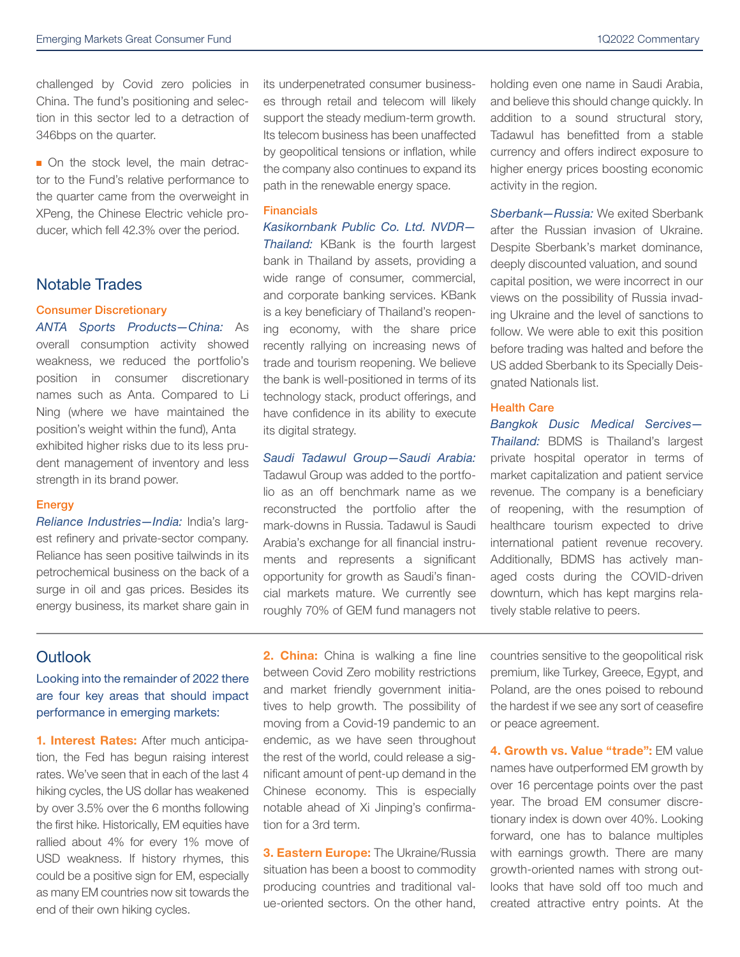challenged by Covid zero policies in China. The fund's positioning and selection in this sector led to a detraction of 346bps on the quarter.

• On the stock level, the main detractor to the Fund's relative performance to the quarter came from the overweight in XPeng, the Chinese Electric vehicle producer, which fell 42.3% over the period.

# Notable Trades

#### Consumer Discretionary

*ANTA Sports Products—China:* As overall consumption activity showed weakness, we reduced the portfolio's position in consumer discretionary names such as Anta. Compared to Li Ning (where we have maintained the position's weight within the fund), Anta exhibited higher risks due to its less prudent management of inventory and less strength in its brand power.

#### Energy

*Reliance Industries—India:* India's largest refinery and private-sector company. Reliance has seen positive tailwinds in its petrochemical business on the back of a surge in oil and gas prices. Besides its energy business, its market share gain in its underpenetrated consumer businesses through retail and telecom will likely support the steady medium-term growth. Its telecom business has been unaffected by geopolitical tensions or inflation, while the company also continues to expand its path in the renewable energy space.

#### **Financials**

*Kasikornbank Public Co. Ltd. NVDR— Thailand:* KBank is the fourth largest bank in Thailand by assets, providing a wide range of consumer, commercial, and corporate banking services. KBank is a key beneficiary of Thailand's reopening economy, with the share price recently rallying on increasing news of trade and tourism reopening. We believe the bank is well-positioned in terms of its technology stack, product offerings, and have confidence in its ability to execute its digital strategy.

### *Saudi Tadawul Group—Saudi Arabia:*

Tadawul Group was added to the portfolio as an off benchmark name as we reconstructed the portfolio after the mark-downs in Russia. Tadawul is Saudi Arabia's exchange for all financial instruments and represents a significant opportunity for growth as Saudi's financial markets mature. We currently see roughly 70% of GEM fund managers not

holding even one name in Saudi Arabia, and believe this should change quickly. In addition to a sound structural story, Tadawul has benefitted from a stable currency and offers indirect exposure to higher energy prices boosting economic activity in the region.

*Sberbank—Russia:* We exited Sberbank after the Russian invasion of Ukraine. Despite Sberbank's market dominance, deeply discounted valuation, and sound capital position, we were incorrect in our views on the possibility of Russia invading Ukraine and the level of sanctions to follow. We were able to exit this position before trading was halted and before the US added Sberbank to its Specially Deisgnated Nationals list.

#### Health Care

*Bangkok Dusic Medical Sercives— Thailand:* BDMS is Thailand's largest private hospital operator in terms of market capitalization and patient service revenue. The company is a beneficiary of reopening, with the resumption of healthcare tourism expected to drive international patient revenue recovery. Additionally, BDMS has actively managed costs during the COVID-driven downturn, which has kept margins relatively stable relative to peers.

# **Outlook**

## Looking into the remainder of 2022 there are four key areas that should impact performance in emerging markets:

1. Interest Rates: After much anticipation, the Fed has begun raising interest rates. We've seen that in each of the last 4 hiking cycles, the US dollar has weakened by over 3.5% over the 6 months following the first hike. Historically, EM equities have rallied about 4% for every 1% move of USD weakness. If history rhymes, this could be a positive sign for EM, especially as many EM countries now sit towards the end of their own hiking cycles.

**2. China:** China is walking a fine line between Covid Zero mobility restrictions and market friendly government initiatives to help growth. The possibility of moving from a Covid-19 pandemic to an endemic, as we have seen throughout the rest of the world, could release a significant amount of pent-up demand in the Chinese economy. This is especially notable ahead of Xi Jinping's confirmation for a 3rd term.

3. Eastern Europe: The Ukraine/Russia situation has been a boost to commodity producing countries and traditional value-oriented sectors. On the other hand, countries sensitive to the geopolitical risk premium, like Turkey, Greece, Egypt, and Poland, are the ones poised to rebound the hardest if we see any sort of ceasefire or peace agreement.

4. Growth vs. Value "trade": EM value names have outperformed EM growth by over 16 percentage points over the past year. The broad EM consumer discretionary index is down over 40%. Looking forward, one has to balance multiples with earnings growth. There are many growth-oriented names with strong outlooks that have sold off too much and created attractive entry points. At the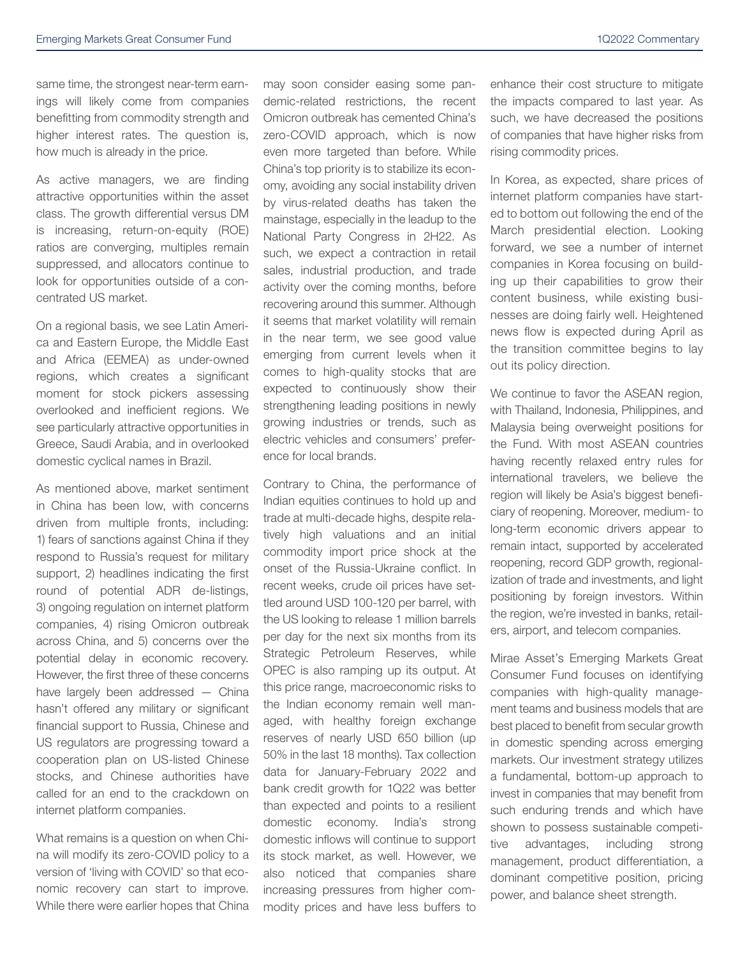same time, the strongest near-term earnings will likely come from companies benefitting from commodity strength and higher interest rates. The question is, how much is already in the price.

As active managers, we are finding attractive opportunities within the asset class. The growth differential versus DM is increasing, return-on-equity (ROE) ratios are converging, multiples remain suppressed, and allocators continue to look for opportunities outside of a concentrated US market.

On a regional basis, we see Latin America and Eastern Europe, the Middle East and Africa (EEMEA) as under-owned regions, which creates a significant moment for stock pickers assessing overlooked and inefficient regions. We see particularly attractive opportunities in Greece, Saudi Arabia, and in overlooked domestic cyclical names in Brazil.

As mentioned above, market sentiment in China has been low, with concerns driven from multiple fronts, including: 1) fears of sanctions against China if they respond to Russia's request for military support, 2) headlines indicating the first round of potential ADR de-listings, 3) ongoing regulation on internet platform companies, 4) rising Omicron outbreak across China, and 5) concerns over the potential delay in economic recovery. However, the first three of these concerns have largely been addressed — China hasn't offered any military or significant financial support to Russia, Chinese and US regulators are progressing toward a cooperation plan on US-listed Chinese stocks, and Chinese authorities have called for an end to the crackdown on internet platform companies.

What remains is a question on when China will modify its zero-COVID policy to a version of 'living with COVID' so that economic recovery can start to improve. While there were earlier hopes that China may soon consider easing some pandemic-related restrictions, the recent Omicron outbreak has cemented China's zero-COVID approach, which is now even more targeted than before. While China's top priority is to stabilize its economy, avoiding any social instability driven by virus-related deaths has taken the mainstage, especially in the leadup to the National Party Congress in 2H22. As such, we expect a contraction in retail sales, industrial production, and trade activity over the coming months, before recovering around this summer. Although it seems that market volatility will remain in the near term, we see good value emerging from current levels when it comes to high-quality stocks that are expected to continuously show their strengthening leading positions in newly growing industries or trends, such as electric vehicles and consumers' preference for local brands.

Contrary to China, the performance of Indian equities continues to hold up and trade at multi-decade highs, despite relatively high valuations and an initial commodity import price shock at the onset of the Russia-Ukraine conflict. In recent weeks, crude oil prices have settled around USD 100-120 per barrel, with the US looking to release 1 million barrels per day for the next six months from its Strategic Petroleum Reserves, while OPEC is also ramping up its output. At this price range, macroeconomic risks to the Indian economy remain well managed, with healthy foreign exchange reserves of nearly USD 650 billion (up 50% in the last 18 months). Tax collection data for January-February 2022 and bank credit growth for 1Q22 was better than expected and points to a resilient domestic economy. India's strong domestic inflows will continue to support its stock market, as well. However, we also noticed that companies share increasing pressures from higher commodity prices and have less buffers to

enhance their cost structure to mitigate the impacts compared to last year. As such, we have decreased the positions of companies that have higher risks from rising commodity prices.

In Korea, as expected, share prices of internet platform companies have started to bottom out following the end of the March presidential election. Looking forward, we see a number of internet companies in Korea focusing on building up their capabilities to grow their content business, while existing businesses are doing fairly well. Heightened news flow is expected during April as the transition committee begins to lay out its policy direction.

We continue to favor the ASEAN region, with Thailand, Indonesia, Philippines, and Malaysia being overweight positions for the Fund. With most ASEAN countries having recently relaxed entry rules for international travelers, we believe the region will likely be Asia's biggest beneficiary of reopening. Moreover, medium- to long-term economic drivers appear to remain intact, supported by accelerated reopening, record GDP growth, regionalization of trade and investments, and light positioning by foreign investors. Within the region, we're invested in banks, retailers, airport, and telecom companies.

Mirae Asset's Emerging Markets Great Consumer Fund focuses on identifying companies with high-quality management teams and business models that are best placed to benefit from secular growth in domestic spending across emerging markets. Our investment strategy utilizes a fundamental, bottom-up approach to invest in companies that may benefit from such enduring trends and which have shown to possess sustainable competitive advantages, including strong management, product differentiation, a dominant competitive position, pricing power, and balance sheet strength.